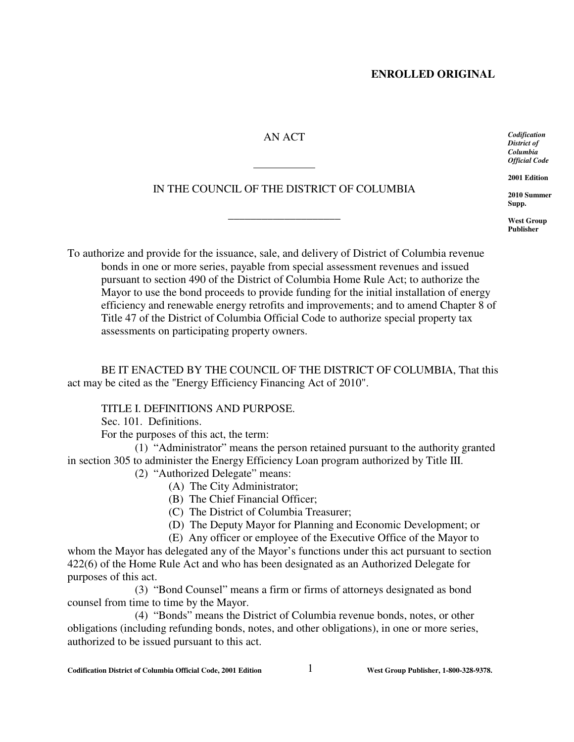# AN ACT

IN THE COUNCIL OF THE DISTRICT OF COLUMBIA

\_\_\_\_\_\_\_\_\_\_\_\_\_\_\_\_\_\_\_\_

 $\overline{a}$ 

*Codification District of Columbia Official Code*

**2001 Edition**

**2010 Summer Supp.**

**West Group Publisher**

To authorize and provide for the issuance, sale, and delivery of District of Columbia revenue bonds in one or more series, payable from special assessment revenues and issued pursuant to section 490 of the District of Columbia Home Rule Act; to authorize the Mayor to use the bond proceeds to provide funding for the initial installation of energy efficiency and renewable energy retrofits and improvements; and to amend Chapter 8 of Title 47 of the District of Columbia Official Code to authorize special property tax assessments on participating property owners.

BE IT ENACTED BY THE COUNCIL OF THE DISTRICT OF COLUMBIA, That this act may be cited as the "Energy Efficiency Financing Act of 2010".

TITLE I. DEFINITIONS AND PURPOSE.

Sec. 101. Definitions.

For the purposes of this act, the term:

(1) "Administrator" means the person retained pursuant to the authority granted in section 305 to administer the Energy Efficiency Loan program authorized by Title III.

(2) "Authorized Delegate" means:

- (A) The City Administrator;
- (B) The Chief Financial Officer;

(C) The District of Columbia Treasurer;

(D) The Deputy Mayor for Planning and Economic Development; or

(E) Any officer or employee of the Executive Office of the Mayor to whom the Mayor has delegated any of the Mayor's functions under this act pursuant to section 422(6) of the Home Rule Act and who has been designated as an Authorized Delegate for purposes of this act.

(3) "Bond Counsel" means a firm or firms of attorneys designated as bond counsel from time to time by the Mayor.

(4) "Bonds" means the District of Columbia revenue bonds, notes, or other obligations (including refunding bonds, notes, and other obligations), in one or more series, authorized to be issued pursuant to this act.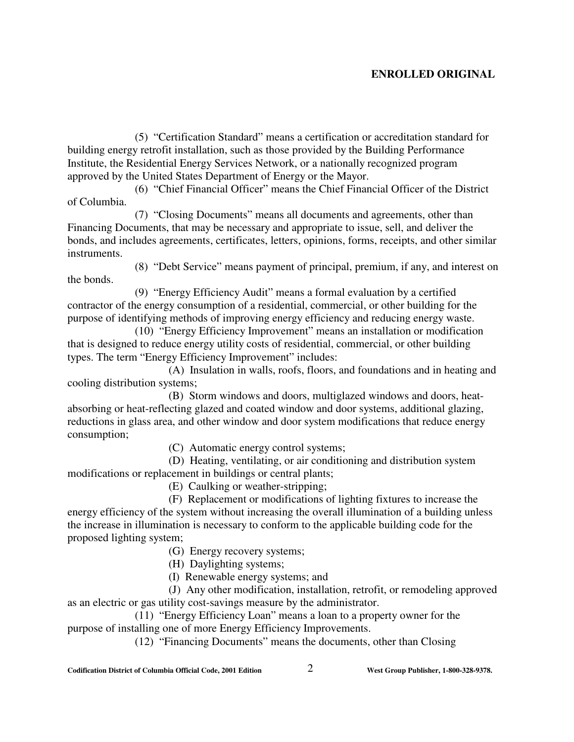(5) "Certification Standard" means a certification or accreditation standard for building energy retrofit installation, such as those provided by the Building Performance Institute, the Residential Energy Services Network, or a nationally recognized program approved by the United States Department of Energy or the Mayor.

(6) "Chief Financial Officer" means the Chief Financial Officer of the District of Columbia.

(7) "Closing Documents" means all documents and agreements, other than Financing Documents, that may be necessary and appropriate to issue, sell, and deliver the bonds, and includes agreements, certificates, letters, opinions, forms, receipts, and other similar instruments.

(8) "Debt Service" means payment of principal, premium, if any, and interest on the bonds.

(9) "Energy Efficiency Audit" means a formal evaluation by a certified contractor of the energy consumption of a residential, commercial, or other building for the purpose of identifying methods of improving energy efficiency and reducing energy waste.

(10) "Energy Efficiency Improvement" means an installation or modification that is designed to reduce energy utility costs of residential, commercial, or other building types. The term "Energy Efficiency Improvement" includes:

(A) Insulation in walls, roofs, floors, and foundations and in heating and cooling distribution systems;

(B) Storm windows and doors, multiglazed windows and doors, heatabsorbing or heat-reflecting glazed and coated window and door systems, additional glazing, reductions in glass area, and other window and door system modifications that reduce energy consumption;

(C) Automatic energy control systems;

(D) Heating, ventilating, or air conditioning and distribution system modifications or replacement in buildings or central plants;

(E) Caulking or weather-stripping;

(F) Replacement or modifications of lighting fixtures to increase the energy efficiency of the system without increasing the overall illumination of a building unless the increase in illumination is necessary to conform to the applicable building code for the proposed lighting system;

(G) Energy recovery systems;

(H) Daylighting systems;

(I) Renewable energy systems; and

(J) Any other modification, installation, retrofit, or remodeling approved as an electric or gas utility cost-savings measure by the administrator.

(11) "Energy Efficiency Loan" means a loan to a property owner for the purpose of installing one of more Energy Efficiency Improvements.

(12) "Financing Documents" means the documents, other than Closing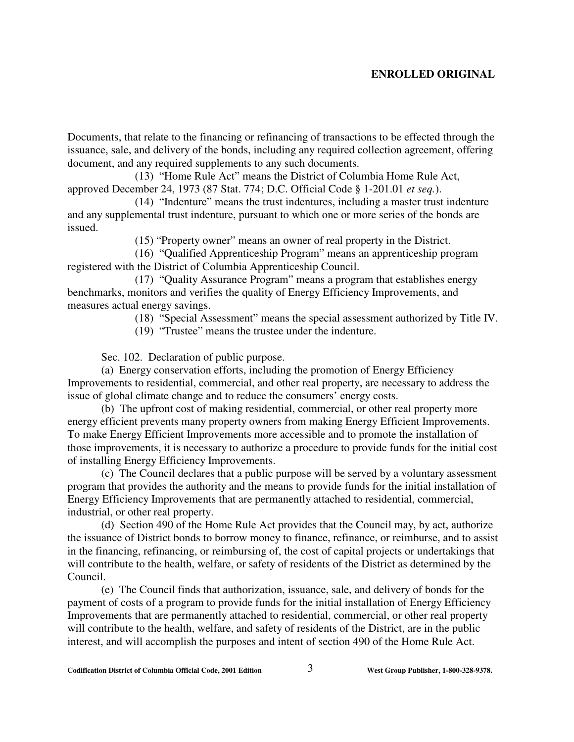Documents, that relate to the financing or refinancing of transactions to be effected through the issuance, sale, and delivery of the bonds, including any required collection agreement, offering document, and any required supplements to any such documents.

(13) "Home Rule Act" means the District of Columbia Home Rule Act, approved December 24, 1973 (87 Stat. 774; D.C. Official Code § 1-201.01 *et seq.*).

(14) "Indenture" means the trust indentures, including a master trust indenture and any supplemental trust indenture, pursuant to which one or more series of the bonds are issued.

(15) "Property owner" means an owner of real property in the District.

(16) "Qualified Apprenticeship Program" means an apprenticeship program registered with the District of Columbia Apprenticeship Council.

(17) "Quality Assurance Program" means a program that establishes energy benchmarks, monitors and verifies the quality of Energy Efficiency Improvements, and measures actual energy savings.

(18) "Special Assessment" means the special assessment authorized by Title IV.

(19) "Trustee" means the trustee under the indenture.

Sec. 102. Declaration of public purpose.

(a) Energy conservation efforts, including the promotion of Energy Efficiency Improvements to residential, commercial, and other real property, are necessary to address the issue of global climate change and to reduce the consumers' energy costs.

(b) The upfront cost of making residential, commercial, or other real property more energy efficient prevents many property owners from making Energy Efficient Improvements. To make Energy Efficient Improvements more accessible and to promote the installation of those improvements, it is necessary to authorize a procedure to provide funds for the initial cost of installing Energy Efficiency Improvements.

(c) The Council declares that a public purpose will be served by a voluntary assessment program that provides the authority and the means to provide funds for the initial installation of Energy Efficiency Improvements that are permanently attached to residential, commercial, industrial, or other real property.

(d) Section 490 of the Home Rule Act provides that the Council may, by act, authorize the issuance of District bonds to borrow money to finance, refinance, or reimburse, and to assist in the financing, refinancing, or reimbursing of, the cost of capital projects or undertakings that will contribute to the health, welfare, or safety of residents of the District as determined by the Council.

(e) The Council finds that authorization, issuance, sale, and delivery of bonds for the payment of costs of a program to provide funds for the initial installation of Energy Efficiency Improvements that are permanently attached to residential, commercial, or other real property will contribute to the health, welfare, and safety of residents of the District, are in the public interest, and will accomplish the purposes and intent of section 490 of the Home Rule Act.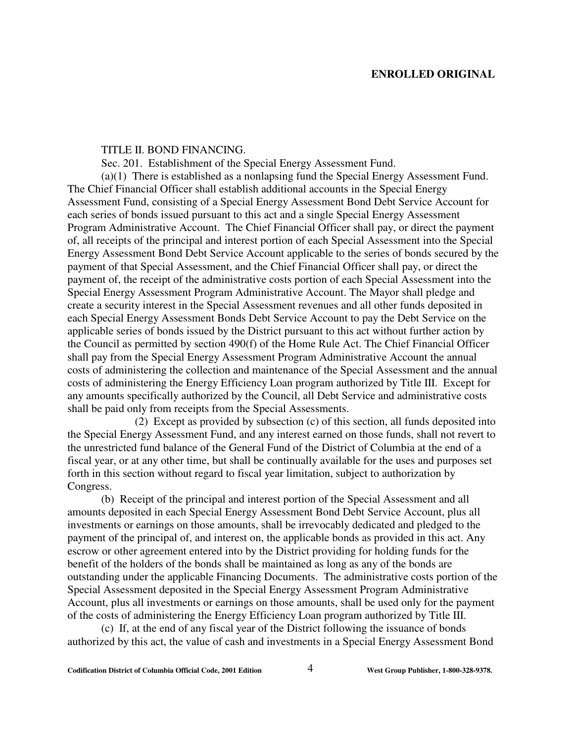#### TITLE II. BOND FINANCING.

Sec. 201. Establishment of the Special Energy Assessment Fund.

(a)(1) There is established as a nonlapsing fund the Special Energy Assessment Fund. The Chief Financial Officer shall establish additional accounts in the Special Energy Assessment Fund, consisting of a Special Energy Assessment Bond Debt Service Account for each series of bonds issued pursuant to this act and a single Special Energy Assessment Program Administrative Account. The Chief Financial Officer shall pay, or direct the payment of, all receipts of the principal and interest portion of each Special Assessment into the Special Energy Assessment Bond Debt Service Account applicable to the series of bonds secured by the payment of that Special Assessment, and the Chief Financial Officer shall pay, or direct the payment of, the receipt of the administrative costs portion of each Special Assessment into the Special Energy Assessment Program Administrative Account. The Mayor shall pledge and create a security interest in the Special Assessment revenues and all other funds deposited in each Special Energy Assessment Bonds Debt Service Account to pay the Debt Service on the applicable series of bonds issued by the District pursuant to this act without further action by the Council as permitted by section 490(f) of the Home Rule Act. The Chief Financial Officer shall pay from the Special Energy Assessment Program Administrative Account the annual costs of administering the collection and maintenance of the Special Assessment and the annual costs of administering the Energy Efficiency Loan program authorized by Title III. Except for any amounts specifically authorized by the Council, all Debt Service and administrative costs shall be paid only from receipts from the Special Assessments.

(2) Except as provided by subsection (c) of this section, all funds deposited into the Special Energy Assessment Fund, and any interest earned on those funds, shall not revert to the unrestricted fund balance of the General Fund of the District of Columbia at the end of a fiscal year, or at any other time, but shall be continually available for the uses and purposes set forth in this section without regard to fiscal year limitation, subject to authorization by Congress.

(b) Receipt of the principal and interest portion of the Special Assessment and all amounts deposited in each Special Energy Assessment Bond Debt Service Account, plus all investments or earnings on those amounts, shall be irrevocably dedicated and pledged to the payment of the principal of, and interest on, the applicable bonds as provided in this act. Any escrow or other agreement entered into by the District providing for holding funds for the benefit of the holders of the bonds shall be maintained as long as any of the bonds are outstanding under the applicable Financing Documents. The administrative costs portion of the Special Assessment deposited in the Special Energy Assessment Program Administrative Account, plus all investments or earnings on those amounts, shall be used only for the payment of the costs of administering the Energy Efficiency Loan program authorized by Title III.

(c) If, at the end of any fiscal year of the District following the issuance of bonds authorized by this act, the value of cash and investments in a Special Energy Assessment Bond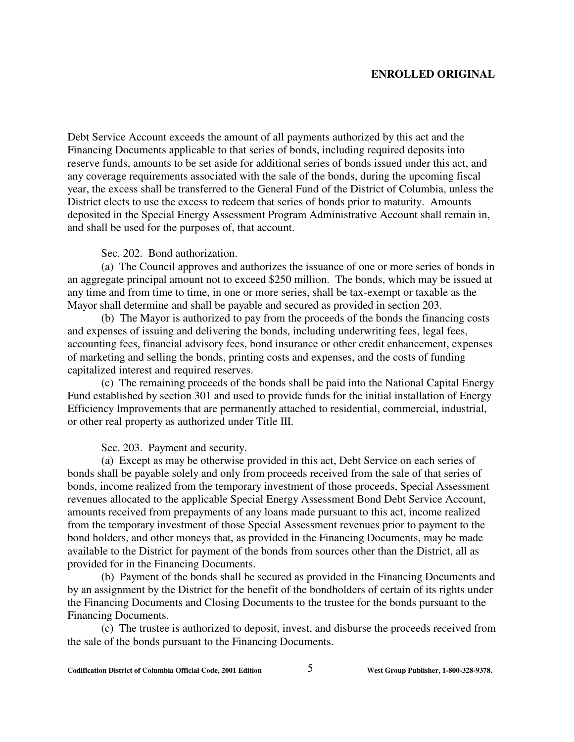Debt Service Account exceeds the amount of all payments authorized by this act and the Financing Documents applicable to that series of bonds, including required deposits into reserve funds, amounts to be set aside for additional series of bonds issued under this act, and any coverage requirements associated with the sale of the bonds, during the upcoming fiscal year, the excess shall be transferred to the General Fund of the District of Columbia, unless the District elects to use the excess to redeem that series of bonds prior to maturity. Amounts deposited in the Special Energy Assessment Program Administrative Account shall remain in, and shall be used for the purposes of, that account.

### Sec. 202. Bond authorization.

(a) The Council approves and authorizes the issuance of one or more series of bonds in an aggregate principal amount not to exceed \$250 million. The bonds, which may be issued at any time and from time to time, in one or more series, shall be tax-exempt or taxable as the Mayor shall determine and shall be payable and secured as provided in section 203.

(b) The Mayor is authorized to pay from the proceeds of the bonds the financing costs and expenses of issuing and delivering the bonds, including underwriting fees, legal fees, accounting fees, financial advisory fees, bond insurance or other credit enhancement, expenses of marketing and selling the bonds, printing costs and expenses, and the costs of funding capitalized interest and required reserves.

(c) The remaining proceeds of the bonds shall be paid into the National Capital Energy Fund established by section 301 and used to provide funds for the initial installation of Energy Efficiency Improvements that are permanently attached to residential, commercial, industrial, or other real property as authorized under Title III.

Sec. 203. Payment and security.

(a) Except as may be otherwise provided in this act, Debt Service on each series of bonds shall be payable solely and only from proceeds received from the sale of that series of bonds, income realized from the temporary investment of those proceeds, Special Assessment revenues allocated to the applicable Special Energy Assessment Bond Debt Service Account, amounts received from prepayments of any loans made pursuant to this act, income realized from the temporary investment of those Special Assessment revenues prior to payment to the bond holders, and other moneys that, as provided in the Financing Documents, may be made available to the District for payment of the bonds from sources other than the District, all as provided for in the Financing Documents.

(b) Payment of the bonds shall be secured as provided in the Financing Documents and by an assignment by the District for the benefit of the bondholders of certain of its rights under the Financing Documents and Closing Documents to the trustee for the bonds pursuant to the Financing Documents.

(c) The trustee is authorized to deposit, invest, and disburse the proceeds received from the sale of the bonds pursuant to the Financing Documents.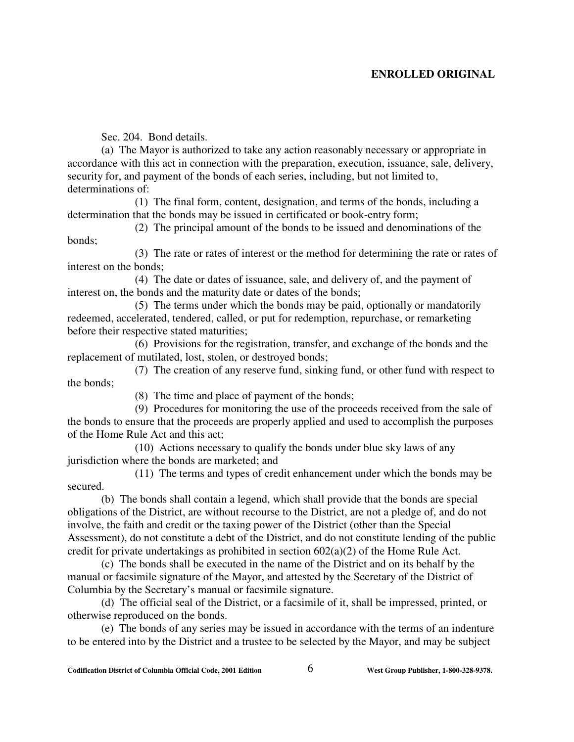Sec. 204. Bond details.

(a) The Mayor is authorized to take any action reasonably necessary or appropriate in accordance with this act in connection with the preparation, execution, issuance, sale, delivery, security for, and payment of the bonds of each series, including, but not limited to, determinations of:

(1) The final form, content, designation, and terms of the bonds, including a determination that the bonds may be issued in certificated or book-entry form;

(2) The principal amount of the bonds to be issued and denominations of the bonds;

(3) The rate or rates of interest or the method for determining the rate or rates of interest on the bonds;

(4) The date or dates of issuance, sale, and delivery of, and the payment of interest on, the bonds and the maturity date or dates of the bonds;

(5) The terms under which the bonds may be paid, optionally or mandatorily redeemed, accelerated, tendered, called, or put for redemption, repurchase, or remarketing before their respective stated maturities;

(6) Provisions for the registration, transfer, and exchange of the bonds and the replacement of mutilated, lost, stolen, or destroyed bonds;

(7) The creation of any reserve fund, sinking fund, or other fund with respect to the bonds;

(8) The time and place of payment of the bonds;

(9) Procedures for monitoring the use of the proceeds received from the sale of the bonds to ensure that the proceeds are properly applied and used to accomplish the purposes of the Home Rule Act and this act;

(10) Actions necessary to qualify the bonds under blue sky laws of any jurisdiction where the bonds are marketed; and

(11) The terms and types of credit enhancement under which the bonds may be secured.

(b) The bonds shall contain a legend, which shall provide that the bonds are special obligations of the District, are without recourse to the District, are not a pledge of, and do not involve, the faith and credit or the taxing power of the District (other than the Special Assessment), do not constitute a debt of the District, and do not constitute lending of the public credit for private undertakings as prohibited in section 602(a)(2) of the Home Rule Act.

(c) The bonds shall be executed in the name of the District and on its behalf by the manual or facsimile signature of the Mayor, and attested by the Secretary of the District of Columbia by the Secretary's manual or facsimile signature.

(d) The official seal of the District, or a facsimile of it, shall be impressed, printed, or otherwise reproduced on the bonds.

(e) The bonds of any series may be issued in accordance with the terms of an indenture to be entered into by the District and a trustee to be selected by the Mayor, and may be subject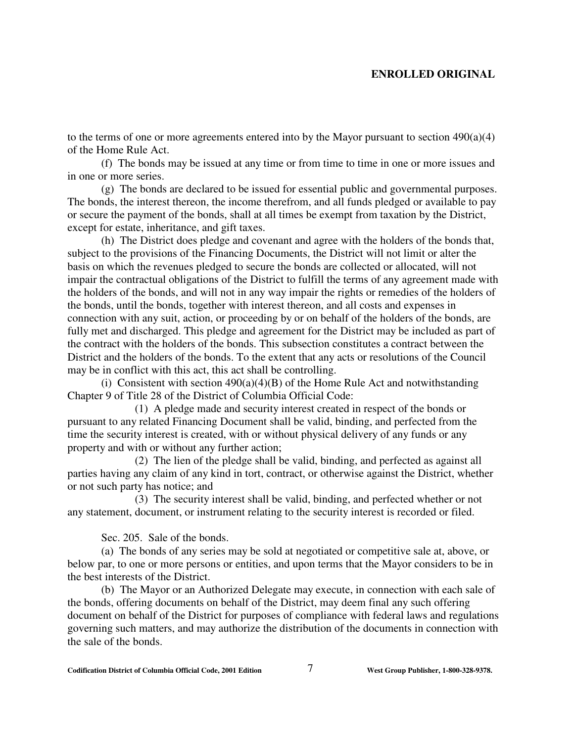to the terms of one or more agreements entered into by the Mayor pursuant to section 490(a)(4) of the Home Rule Act.

(f) The bonds may be issued at any time or from time to time in one or more issues and in one or more series.

(g) The bonds are declared to be issued for essential public and governmental purposes. The bonds, the interest thereon, the income therefrom, and all funds pledged or available to pay or secure the payment of the bonds, shall at all times be exempt from taxation by the District, except for estate, inheritance, and gift taxes.

(h) The District does pledge and covenant and agree with the holders of the bonds that, subject to the provisions of the Financing Documents, the District will not limit or alter the basis on which the revenues pledged to secure the bonds are collected or allocated, will not impair the contractual obligations of the District to fulfill the terms of any agreement made with the holders of the bonds, and will not in any way impair the rights or remedies of the holders of the bonds, until the bonds, together with interest thereon, and all costs and expenses in connection with any suit, action, or proceeding by or on behalf of the holders of the bonds, are fully met and discharged. This pledge and agreement for the District may be included as part of the contract with the holders of the bonds. This subsection constitutes a contract between the District and the holders of the bonds. To the extent that any acts or resolutions of the Council may be in conflict with this act, this act shall be controlling.

(i) Consistent with section  $490(a)(4)(B)$  of the Home Rule Act and notwithstanding Chapter 9 of Title 28 of the District of Columbia Official Code:

(1) A pledge made and security interest created in respect of the bonds or pursuant to any related Financing Document shall be valid, binding, and perfected from the time the security interest is created, with or without physical delivery of any funds or any property and with or without any further action;

(2) The lien of the pledge shall be valid, binding, and perfected as against all parties having any claim of any kind in tort, contract, or otherwise against the District, whether or not such party has notice; and

(3) The security interest shall be valid, binding, and perfected whether or not any statement, document, or instrument relating to the security interest is recorded or filed.

Sec. 205. Sale of the bonds.

(a) The bonds of any series may be sold at negotiated or competitive sale at, above, or below par, to one or more persons or entities, and upon terms that the Mayor considers to be in the best interests of the District.

(b) The Mayor or an Authorized Delegate may execute, in connection with each sale of the bonds, offering documents on behalf of the District, may deem final any such offering document on behalf of the District for purposes of compliance with federal laws and regulations governing such matters, and may authorize the distribution of the documents in connection with the sale of the bonds.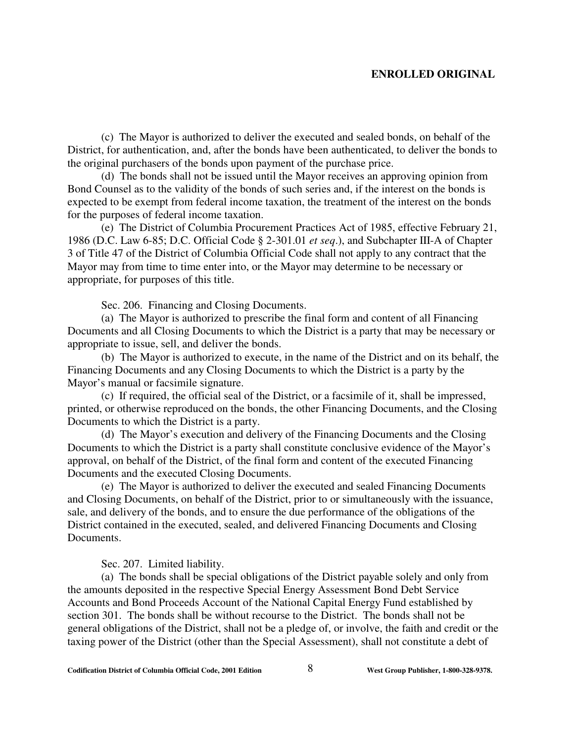(c) The Mayor is authorized to deliver the executed and sealed bonds, on behalf of the District, for authentication, and, after the bonds have been authenticated, to deliver the bonds to the original purchasers of the bonds upon payment of the purchase price.

(d) The bonds shall not be issued until the Mayor receives an approving opinion from Bond Counsel as to the validity of the bonds of such series and, if the interest on the bonds is expected to be exempt from federal income taxation, the treatment of the interest on the bonds for the purposes of federal income taxation.

(e) The District of Columbia Procurement Practices Act of 1985, effective February 21, 1986 (D.C. Law 6-85; D.C. Official Code § 2-301.01 *et seq*.), and Subchapter III-A of Chapter 3 of Title 47 of the District of Columbia Official Code shall not apply to any contract that the Mayor may from time to time enter into, or the Mayor may determine to be necessary or appropriate, for purposes of this title.

Sec. 206. Financing and Closing Documents.

(a) The Mayor is authorized to prescribe the final form and content of all Financing Documents and all Closing Documents to which the District is a party that may be necessary or appropriate to issue, sell, and deliver the bonds.

(b) The Mayor is authorized to execute, in the name of the District and on its behalf, the Financing Documents and any Closing Documents to which the District is a party by the Mayor's manual or facsimile signature.

(c) If required, the official seal of the District, or a facsimile of it, shall be impressed, printed, or otherwise reproduced on the bonds, the other Financing Documents, and the Closing Documents to which the District is a party.

(d) The Mayor's execution and delivery of the Financing Documents and the Closing Documents to which the District is a party shall constitute conclusive evidence of the Mayor's approval, on behalf of the District, of the final form and content of the executed Financing Documents and the executed Closing Documents.

(e) The Mayor is authorized to deliver the executed and sealed Financing Documents and Closing Documents, on behalf of the District, prior to or simultaneously with the issuance, sale, and delivery of the bonds, and to ensure the due performance of the obligations of the District contained in the executed, sealed, and delivered Financing Documents and Closing Documents.

Sec. 207. Limited liability.

(a) The bonds shall be special obligations of the District payable solely and only from the amounts deposited in the respective Special Energy Assessment Bond Debt Service Accounts and Bond Proceeds Account of the National Capital Energy Fund established by section 301. The bonds shall be without recourse to the District. The bonds shall not be general obligations of the District, shall not be a pledge of, or involve, the faith and credit or the taxing power of the District (other than the Special Assessment), shall not constitute a debt of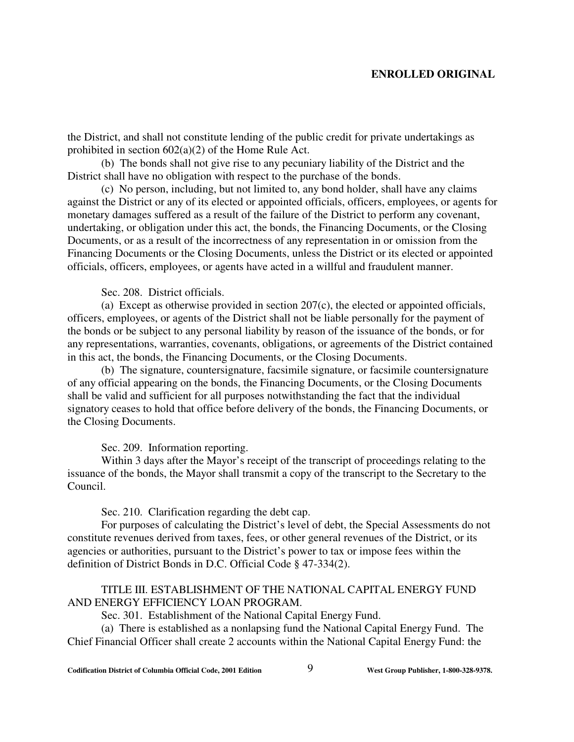the District, and shall not constitute lending of the public credit for private undertakings as prohibited in section  $602(a)(2)$  of the Home Rule Act.

(b) The bonds shall not give rise to any pecuniary liability of the District and the District shall have no obligation with respect to the purchase of the bonds.

(c) No person, including, but not limited to, any bond holder, shall have any claims against the District or any of its elected or appointed officials, officers, employees, or agents for monetary damages suffered as a result of the failure of the District to perform any covenant, undertaking, or obligation under this act, the bonds, the Financing Documents, or the Closing Documents, or as a result of the incorrectness of any representation in or omission from the Financing Documents or the Closing Documents, unless the District or its elected or appointed officials, officers, employees, or agents have acted in a willful and fraudulent manner.

Sec. 208. District officials.

(a) Except as otherwise provided in section 207(c), the elected or appointed officials, officers, employees, or agents of the District shall not be liable personally for the payment of the bonds or be subject to any personal liability by reason of the issuance of the bonds, or for any representations, warranties, covenants, obligations, or agreements of the District contained in this act, the bonds, the Financing Documents, or the Closing Documents.

(b) The signature, countersignature, facsimile signature, or facsimile countersignature of any official appearing on the bonds, the Financing Documents, or the Closing Documents shall be valid and sufficient for all purposes notwithstanding the fact that the individual signatory ceases to hold that office before delivery of the bonds, the Financing Documents, or the Closing Documents.

Sec. 209. Information reporting.

Within 3 days after the Mayor's receipt of the transcript of proceedings relating to the issuance of the bonds, the Mayor shall transmit a copy of the transcript to the Secretary to the Council.

Sec. 210. Clarification regarding the debt cap.

For purposes of calculating the District's level of debt, the Special Assessments do not constitute revenues derived from taxes, fees, or other general revenues of the District, or its agencies or authorities, pursuant to the District's power to tax or impose fees within the definition of District Bonds in D.C. Official Code § 47-334(2).

### TITLE III. ESTABLISHMENT OF THE NATIONAL CAPITAL ENERGY FUND AND ENERGY EFFICIENCY LOAN PROGRAM.

Sec. 301. Establishment of the National Capital Energy Fund.

(a) There is established as a nonlapsing fund the National Capital Energy Fund. The Chief Financial Officer shall create 2 accounts within the National Capital Energy Fund: the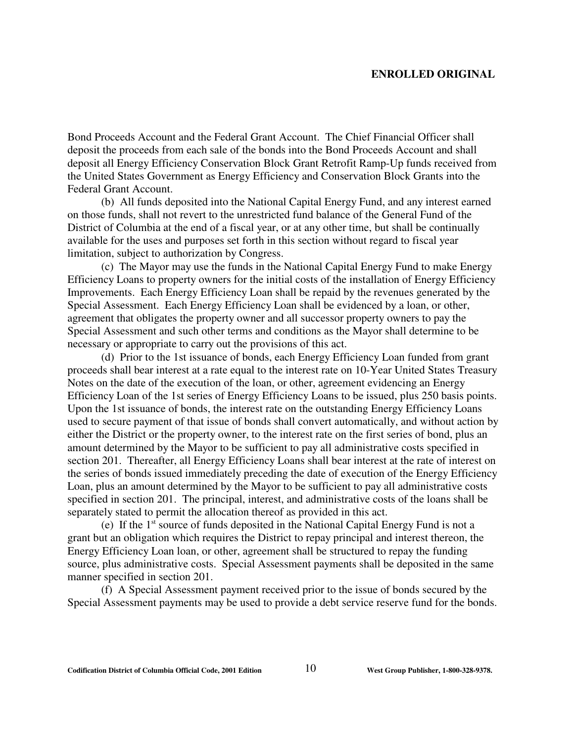Bond Proceeds Account and the Federal Grant Account. The Chief Financial Officer shall deposit the proceeds from each sale of the bonds into the Bond Proceeds Account and shall deposit all Energy Efficiency Conservation Block Grant Retrofit Ramp-Up funds received from the United States Government as Energy Efficiency and Conservation Block Grants into the Federal Grant Account.

(b) All funds deposited into the National Capital Energy Fund, and any interest earned on those funds, shall not revert to the unrestricted fund balance of the General Fund of the District of Columbia at the end of a fiscal year, or at any other time, but shall be continually available for the uses and purposes set forth in this section without regard to fiscal year limitation, subject to authorization by Congress.

(c) The Mayor may use the funds in the National Capital Energy Fund to make Energy Efficiency Loans to property owners for the initial costs of the installation of Energy Efficiency Improvements. Each Energy Efficiency Loan shall be repaid by the revenues generated by the Special Assessment. Each Energy Efficiency Loan shall be evidenced by a loan, or other, agreement that obligates the property owner and all successor property owners to pay the Special Assessment and such other terms and conditions as the Mayor shall determine to be necessary or appropriate to carry out the provisions of this act.

(d) Prior to the 1st issuance of bonds, each Energy Efficiency Loan funded from grant proceeds shall bear interest at a rate equal to the interest rate on 10-Year United States Treasury Notes on the date of the execution of the loan, or other, agreement evidencing an Energy Efficiency Loan of the 1st series of Energy Efficiency Loans to be issued, plus 250 basis points. Upon the 1st issuance of bonds, the interest rate on the outstanding Energy Efficiency Loans used to secure payment of that issue of bonds shall convert automatically, and without action by either the District or the property owner, to the interest rate on the first series of bond, plus an amount determined by the Mayor to be sufficient to pay all administrative costs specified in section 201. Thereafter, all Energy Efficiency Loans shall bear interest at the rate of interest on the series of bonds issued immediately preceding the date of execution of the Energy Efficiency Loan, plus an amount determined by the Mayor to be sufficient to pay all administrative costs specified in section 201. The principal, interest, and administrative costs of the loans shall be separately stated to permit the allocation thereof as provided in this act.

(e) If the  $1<sup>st</sup>$  source of funds deposited in the National Capital Energy Fund is not a grant but an obligation which requires the District to repay principal and interest thereon, the Energy Efficiency Loan loan, or other, agreement shall be structured to repay the funding source, plus administrative costs. Special Assessment payments shall be deposited in the same manner specified in section 201.

(f) A Special Assessment payment received prior to the issue of bonds secured by the Special Assessment payments may be used to provide a debt service reserve fund for the bonds.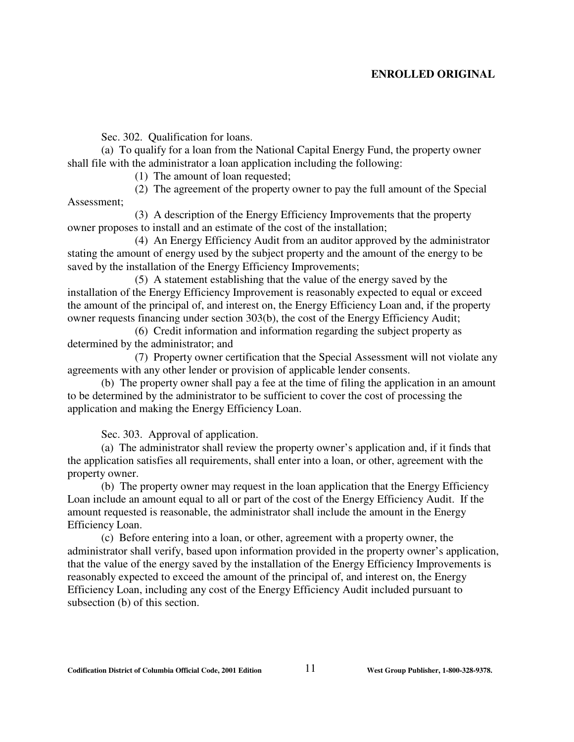Sec. 302. Qualification for loans.

(a) To qualify for a loan from the National Capital Energy Fund, the property owner shall file with the administrator a loan application including the following:

(1) The amount of loan requested;

(2) The agreement of the property owner to pay the full amount of the Special Assessment;

(3) A description of the Energy Efficiency Improvements that the property owner proposes to install and an estimate of the cost of the installation;

(4) An Energy Efficiency Audit from an auditor approved by the administrator stating the amount of energy used by the subject property and the amount of the energy to be saved by the installation of the Energy Efficiency Improvements;

(5) A statement establishing that the value of the energy saved by the installation of the Energy Efficiency Improvement is reasonably expected to equal or exceed the amount of the principal of, and interest on, the Energy Efficiency Loan and, if the property owner requests financing under section 303(b), the cost of the Energy Efficiency Audit;

(6) Credit information and information regarding the subject property as determined by the administrator; and

(7) Property owner certification that the Special Assessment will not violate any agreements with any other lender or provision of applicable lender consents.

(b) The property owner shall pay a fee at the time of filing the application in an amount to be determined by the administrator to be sufficient to cover the cost of processing the application and making the Energy Efficiency Loan.

Sec. 303. Approval of application.

(a) The administrator shall review the property owner's application and, if it finds that the application satisfies all requirements, shall enter into a loan, or other, agreement with the property owner.

(b) The property owner may request in the loan application that the Energy Efficiency Loan include an amount equal to all or part of the cost of the Energy Efficiency Audit. If the amount requested is reasonable, the administrator shall include the amount in the Energy Efficiency Loan.

(c) Before entering into a loan, or other, agreement with a property owner, the administrator shall verify, based upon information provided in the property owner's application, that the value of the energy saved by the installation of the Energy Efficiency Improvements is reasonably expected to exceed the amount of the principal of, and interest on, the Energy Efficiency Loan, including any cost of the Energy Efficiency Audit included pursuant to subsection (b) of this section.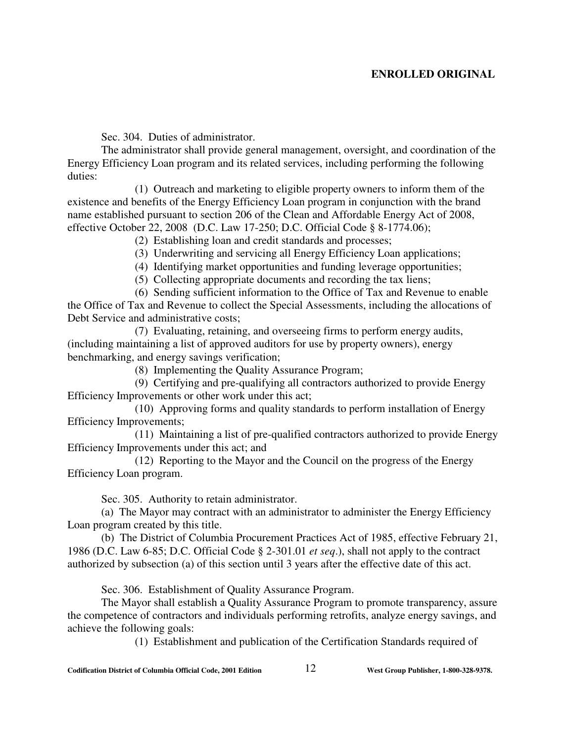Sec. 304. Duties of administrator.

The administrator shall provide general management, oversight, and coordination of the Energy Efficiency Loan program and its related services, including performing the following duties:

(1) Outreach and marketing to eligible property owners to inform them of the existence and benefits of the Energy Efficiency Loan program in conjunction with the brand name established pursuant to section 206 of the Clean and Affordable Energy Act of 2008, effective October 22, 2008 (D.C. Law 17-250; D.C. Official Code § 8-1774.06);

(2) Establishing loan and credit standards and processes;

(3) Underwriting and servicing all Energy Efficiency Loan applications;

(4) Identifying market opportunities and funding leverage opportunities;

(5) Collecting appropriate documents and recording the tax liens;

(6) Sending sufficient information to the Office of Tax and Revenue to enable the Office of Tax and Revenue to collect the Special Assessments, including the allocations of Debt Service and administrative costs;

(7) Evaluating, retaining, and overseeing firms to perform energy audits, (including maintaining a list of approved auditors for use by property owners), energy benchmarking, and energy savings verification;

(8) Implementing the Quality Assurance Program;

(9) Certifying and pre-qualifying all contractors authorized to provide Energy Efficiency Improvements or other work under this act;

(10) Approving forms and quality standards to perform installation of Energy Efficiency Improvements;

(11) Maintaining a list of pre-qualified contractors authorized to provide Energy Efficiency Improvements under this act; and

(12) Reporting to the Mayor and the Council on the progress of the Energy Efficiency Loan program.

Sec. 305. Authority to retain administrator.

(a) The Mayor may contract with an administrator to administer the Energy Efficiency Loan program created by this title.

(b) The District of Columbia Procurement Practices Act of 1985, effective February 21, 1986 (D.C. Law 6-85; D.C. Official Code § 2-301.01 *et seq*.), shall not apply to the contract authorized by subsection (a) of this section until 3 years after the effective date of this act.

Sec. 306. Establishment of Quality Assurance Program.

The Mayor shall establish a Quality Assurance Program to promote transparency, assure the competence of contractors and individuals performing retrofits, analyze energy savings, and achieve the following goals:

(1) Establishment and publication of the Certification Standards required of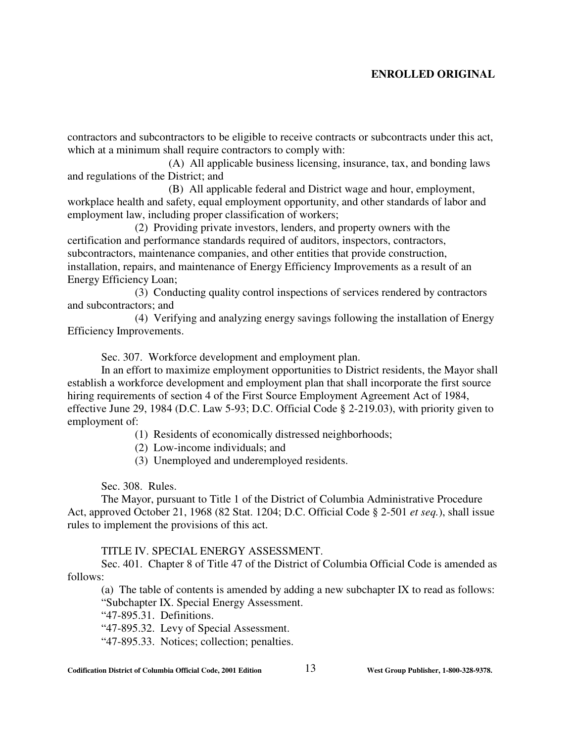contractors and subcontractors to be eligible to receive contracts or subcontracts under this act, which at a minimum shall require contractors to comply with:

(A) All applicable business licensing, insurance, tax, and bonding laws and regulations of the District; and

(B) All applicable federal and District wage and hour, employment, workplace health and safety, equal employment opportunity, and other standards of labor and employment law, including proper classification of workers;

(2) Providing private investors, lenders, and property owners with the certification and performance standards required of auditors, inspectors, contractors, subcontractors, maintenance companies, and other entities that provide construction, installation, repairs, and maintenance of Energy Efficiency Improvements as a result of an Energy Efficiency Loan;

(3) Conducting quality control inspections of services rendered by contractors and subcontractors; and

(4) Verifying and analyzing energy savings following the installation of Energy Efficiency Improvements.

Sec. 307. Workforce development and employment plan.

In an effort to maximize employment opportunities to District residents, the Mayor shall establish a workforce development and employment plan that shall incorporate the first source hiring requirements of section 4 of the First Source Employment Agreement Act of 1984, effective June 29, 1984 (D.C. Law 5-93; D.C. Official Code § 2-219.03), with priority given to employment of:

(1) Residents of economically distressed neighborhoods;

- (2) Low-income individuals; and
- (3) Unemployed and underemployed residents.

Sec. 308. Rules.

The Mayor, pursuant to Title 1 of the District of Columbia Administrative Procedure Act, approved October 21, 1968 (82 Stat. 1204; D.C. Official Code § 2-501 *et seq.*), shall issue rules to implement the provisions of this act.

### TITLE IV. SPECIAL ENERGY ASSESSMENT.

Sec. 401. Chapter 8 of Title 47 of the District of Columbia Official Code is amended as follows:

(a) The table of contents is amended by adding a new subchapter IX to read as follows: "Subchapter IX. Special Energy Assessment.

"47-895.31. Definitions.

"47-895.32. Levy of Special Assessment.

"47-895.33. Notices; collection; penalties.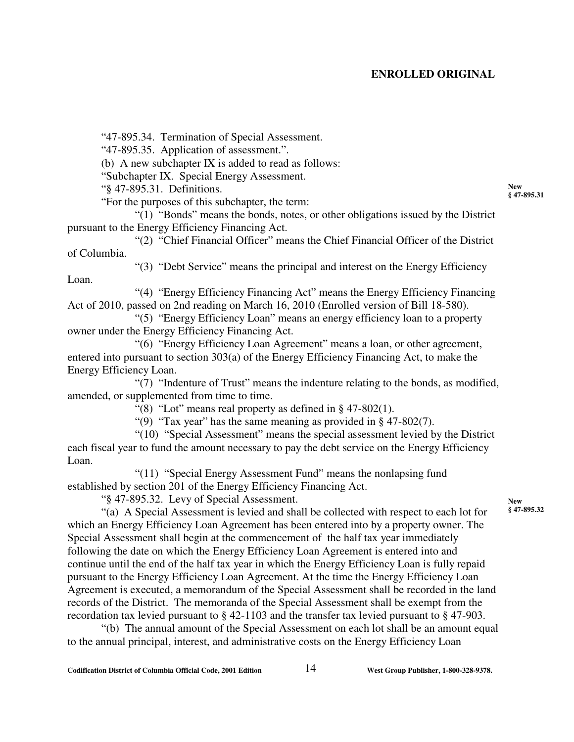"47-895.34. Termination of Special Assessment.

"47-895.35. Application of assessment.".

(b) A new subchapter IX is added to read as follows:

"Subchapter IX. Special Energy Assessment.

"§ 47-895.31. Definitions.

"For the purposes of this subchapter, the term:

"(1) "Bonds" means the bonds, notes, or other obligations issued by the District pursuant to the Energy Efficiency Financing Act.

"(2) "Chief Financial Officer" means the Chief Financial Officer of the District of Columbia.

"(3) "Debt Service" means the principal and interest on the Energy Efficiency

Loan.

"(4) "Energy Efficiency Financing Act" means the Energy Efficiency Financing Act of 2010, passed on 2nd reading on March 16, 2010 (Enrolled version of Bill 18-580).

"(5) "Energy Efficiency Loan" means an energy efficiency loan to a property owner under the Energy Efficiency Financing Act.

"(6) "Energy Efficiency Loan Agreement" means a loan, or other agreement, entered into pursuant to section 303(a) of the Energy Efficiency Financing Act, to make the Energy Efficiency Loan.

"(7) "Indenture of Trust" means the indenture relating to the bonds, as modified, amended, or supplemented from time to time.

"(8) "Lot" means real property as defined in  $\S$  47-802(1).

"(9) "Tax year" has the same meaning as provided in § 47-802(7).

"(10) "Special Assessment" means the special assessment levied by the District each fiscal year to fund the amount necessary to pay the debt service on the Energy Efficiency Loan.

"(11) "Special Energy Assessment Fund" means the nonlapsing fund established by section 201 of the Energy Efficiency Financing Act.

"§ 47-895.32. Levy of Special Assessment.

"(a) A Special Assessment is levied and shall be collected with respect to each lot for which an Energy Efficiency Loan Agreement has been entered into by a property owner. The Special Assessment shall begin at the commencement of the half tax year immediately following the date on which the Energy Efficiency Loan Agreement is entered into and continue until the end of the half tax year in which the Energy Efficiency Loan is fully repaid pursuant to the Energy Efficiency Loan Agreement. At the time the Energy Efficiency Loan Agreement is executed, a memorandum of the Special Assessment shall be recorded in the land records of the District. The memoranda of the Special Assessment shall be exempt from the recordation tax levied pursuant to § 42-1103 and the transfer tax levied pursuant to § 47-903.

"(b) The annual amount of the Special Assessment on each lot shall be an amount equal to the annual principal, interest, and administrative costs on the Energy Efficiency Loan

**New § 47-895.31**

**New § 47-895.32**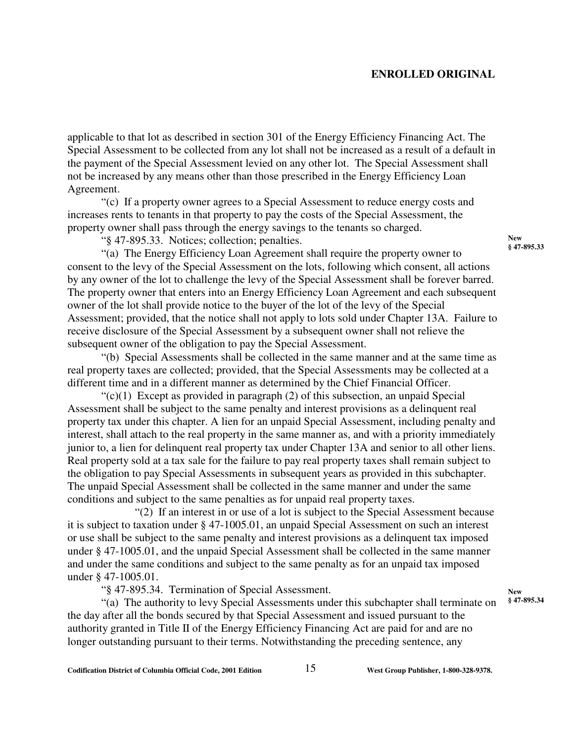applicable to that lot as described in section 301 of the Energy Efficiency Financing Act. The Special Assessment to be collected from any lot shall not be increased as a result of a default in the payment of the Special Assessment levied on any other lot. The Special Assessment shall not be increased by any means other than those prescribed in the Energy Efficiency Loan Agreement.

"(c) If a property owner agrees to a Special Assessment to reduce energy costs and increases rents to tenants in that property to pay the costs of the Special Assessment, the property owner shall pass through the energy savings to the tenants so charged.

"§ 47-895.33. Notices; collection; penalties.

"(a) The Energy Efficiency Loan Agreement shall require the property owner to consent to the levy of the Special Assessment on the lots, following which consent, all actions by any owner of the lot to challenge the levy of the Special Assessment shall be forever barred. The property owner that enters into an Energy Efficiency Loan Agreement and each subsequent owner of the lot shall provide notice to the buyer of the lot of the levy of the Special Assessment; provided, that the notice shall not apply to lots sold under Chapter 13A. Failure to receive disclosure of the Special Assessment by a subsequent owner shall not relieve the subsequent owner of the obligation to pay the Special Assessment.

"(b) Special Assessments shall be collected in the same manner and at the same time as real property taxes are collected; provided, that the Special Assessments may be collected at a different time and in a different manner as determined by the Chief Financial Officer.

 $\degree$ (c)(1) Except as provided in paragraph (2) of this subsection, an unpaid Special Assessment shall be subject to the same penalty and interest provisions as a delinquent real property tax under this chapter. A lien for an unpaid Special Assessment, including penalty and interest, shall attach to the real property in the same manner as, and with a priority immediately junior to, a lien for delinquent real property tax under Chapter 13A and senior to all other liens. Real property sold at a tax sale for the failure to pay real property taxes shall remain subject to the obligation to pay Special Assessments in subsequent years as provided in this subchapter. The unpaid Special Assessment shall be collected in the same manner and under the same conditions and subject to the same penalties as for unpaid real property taxes.

"(2) If an interest in or use of a lot is subject to the Special Assessment because it is subject to taxation under § 47-1005.01, an unpaid Special Assessment on such an interest or use shall be subject to the same penalty and interest provisions as a delinquent tax imposed under § 47-1005.01, and the unpaid Special Assessment shall be collected in the same manner and under the same conditions and subject to the same penalty as for an unpaid tax imposed under § 47-1005.01.

"§ 47-895.34. Termination of Special Assessment.

"(a) The authority to levy Special Assessments under this subchapter shall terminate on the day after all the bonds secured by that Special Assessment and issued pursuant to the authority granted in Title II of the Energy Efficiency Financing Act are paid for and are no longer outstanding pursuant to their terms. Notwithstanding the preceding sentence, any

**New § 47-895.33**

**New § 47-895.34**